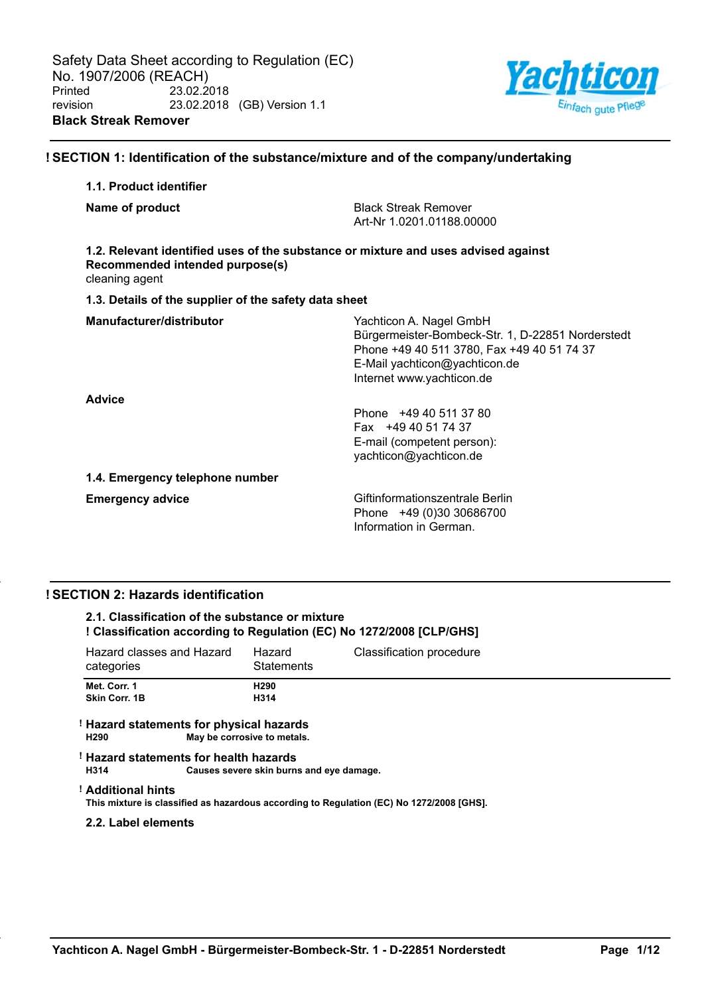

# **! SECTION 1: Identification of the substance/mixture and of the company/undertaking**

# **1.1. Product identifier**

|  | Name of product |  |
|--|-----------------|--|
|--|-----------------|--|

**Black Streak Remover** Art-Nr 1.0201.01188.00000

# **1.2. Relevant identified uses of the substance or mixture and uses advised against Recommended intended purpose(s)**

cleaning agent

#### **1.3. Details of the supplier of the safety data sheet**

| Manufacturer/distributor        | Yachticon A. Nagel GmbH<br>Bürgermeister-Bombeck-Str. 1, D-22851 Norderstedt<br>Phone +49 40 511 3780, Fax +49 40 51 74 37<br>E-Mail yachticon@yachticon.de<br>Internet www.yachticon.de |
|---------------------------------|------------------------------------------------------------------------------------------------------------------------------------------------------------------------------------------|
| <b>Advice</b>                   | Phone +49 40 511 37 80<br>Fax +49 40 51 74 37<br>E-mail (competent person):<br>yachticon@yachticon.de                                                                                    |
| 1.4. Emergency telephone number |                                                                                                                                                                                          |
| <b>Emergency advice</b>         | Giftinformationszentrale Berlin<br>Phone +49 (0)30 30686700<br>Information in German.                                                                                                    |

# **! SECTION 2: Hazards identification**

# **2.1. Classification of the substance or mixture ! Classification according to Regulation (EC) No 1272/2008 [CLP/GHS]**

| Hazard classes and Hazard<br>categories | Hazard<br><b>Statements</b> | Classification procedure |
|-----------------------------------------|-----------------------------|--------------------------|
| Met. Corr. 1                            | H <sub>290</sub>            |                          |
| <b>Skin Corr. 1B</b>                    | H314                        |                          |

#### **! Hazard statements for physical hazards May be corrosive to metals.**

#### **! Hazard statements for health hazards H314 Causes severe skin burns and eye damage.**

#### **! Additional hints**

**This mixture is classified as hazardous according to Regulation (EC) No 1272/2008 [GHS].**

# **2.2. Label elements**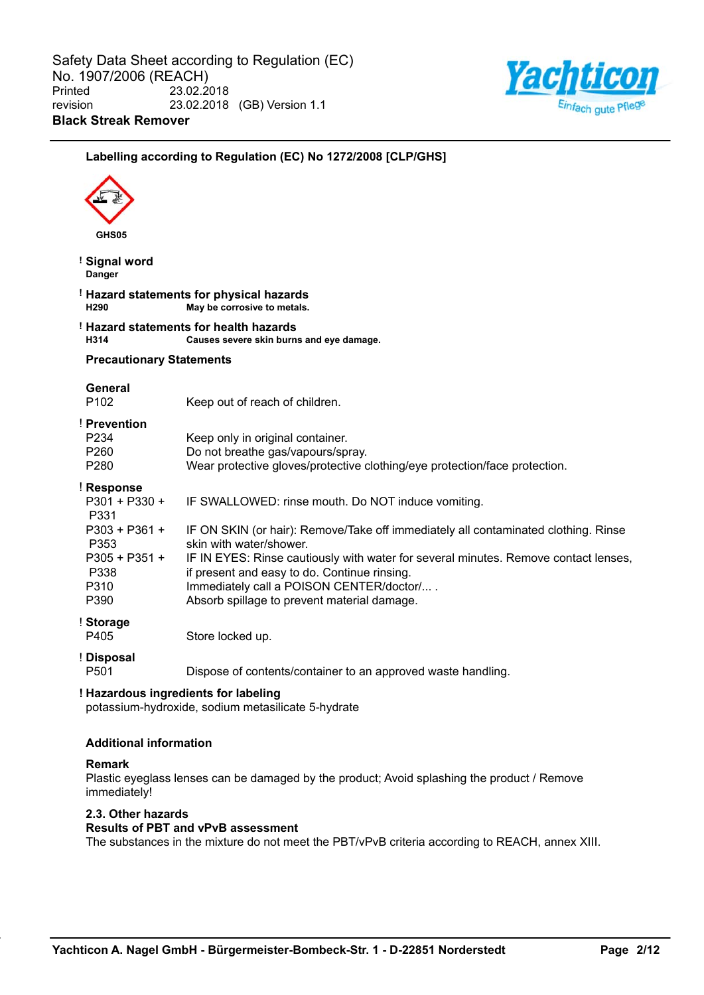

# **Labelling according to Regulation (EC) No 1272/2008 [CLP/GHS] GHS05 ! Signal word Danger ! Hazard statements for physical hazards H290 May be corrosive to metals. ! Hazard statements for health hazards H314 Causes severe skin burns and eye damage. Precautionary Statements General** P102 Keep out of reach of children. ! **Prevention** P234 Keep only in original container. P260 Do not breathe gas/vapours/spray. P280 Wear protective gloves/protective clothing/eye protection/face protection. ! **Response** P301 + P330 + P331 IF SWALLOWED: rinse mouth. Do NOT induce vomiting. P303 + P361 + P353 IF ON SKIN (or hair): Remove/Take off immediately all contaminated clothing. Rinse skin with water/shower. P305 + P351 + P338 IF IN EYES: Rinse cautiously with water for several minutes. Remove contact lenses, if present and easy to do. Continue rinsing. P310 Immediately call a POISON CENTER/doctor/.... P390 Absorb spillage to prevent material damage. ! **Storage** P405 Store locked up. ! **Disposal** P501 Dispose of contents/container to an approved waste handling. **! Hazardous ingredients for labeling** potassium-hydroxide, sodium metasilicate 5-hydrate **Additional information Remark** Plastic eyeglass lenses can be damaged by the product; Avoid splashing the product / Remove immediately!

#### **2.3. Other hazards**

# **Results of PBT and vPvB assessment**

The substances in the mixture do not meet the PBT/vPvB criteria according to REACH, annex XIII.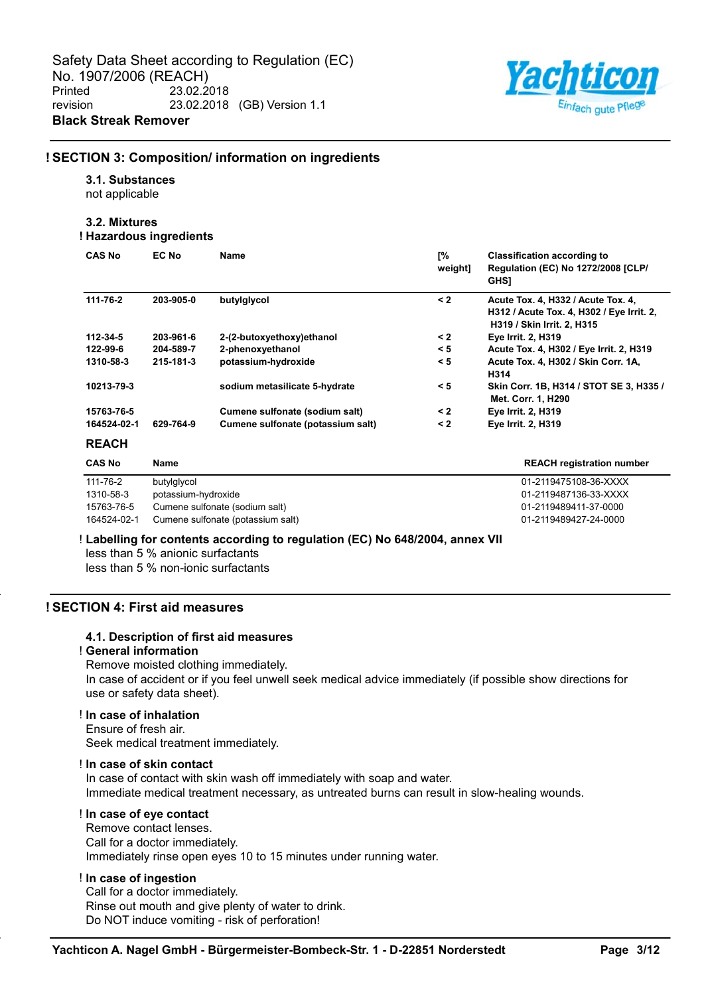

#### **! SECTION 3: Composition/ information on ingredients**

#### **3.1. Substances**

not applicable

# **3.2. Mixtures**

# **! Hazardous ingredients**

| <b>CAS No</b> | EC No     | Name                              | [%<br>weight] | <b>Classification according to</b><br>Regulation (EC) No 1272/2008 [CLP/<br><b>GHS1</b>                       |
|---------------|-----------|-----------------------------------|---------------|---------------------------------------------------------------------------------------------------------------|
| 111-76-2      | 203-905-0 | butylglycol                       | $\leq 2$      | Acute Tox. 4, H332 / Acute Tox. 4,<br>H312 / Acute Tox. 4, H302 / Eye Irrit. 2,<br>H319 / Skin Irrit. 2, H315 |
| 112-34-5      | 203-961-6 | 2-(2-butoxyethoxy)ethanol         | $\leq$ 2      | <b>Eye Irrit. 2, H319</b>                                                                                     |
| 122-99-6      | 204-589-7 | 2-phenoxyethanol                  | < 5           | Acute Tox. 4, H302 / Eye Irrit. 2, H319                                                                       |
| 1310-58-3     | 215-181-3 | potassium-hydroxide               | $\leq 5$      | Acute Tox. 4, H302 / Skin Corr. 1A,<br>H314                                                                   |
| 10213-79-3    |           | sodium metasilicate 5-hydrate     | < 5           | Skin Corr. 1B, H314 / STOT SE 3, H335 /<br>Met. Corr. 1, H290                                                 |
| 15763-76-5    |           | Cumene sulfonate (sodium salt)    | $\leq 2$      | <b>Eye Irrit. 2, H319</b>                                                                                     |
| 164524-02-1   | 629-764-9 | Cumene sulfonate (potassium salt) | $\leq 2$      | <b>Eye Irrit. 2, H319</b>                                                                                     |
| <b>REACH</b>  |           |                                   |               |                                                                                                               |

| <b>CAS No</b> | Name                              | <b>REACH registration number</b> |
|---------------|-----------------------------------|----------------------------------|
| 111-76-2      | butylglycol                       | 01-2119475108-36-XXXX            |
| 1310-58-3     | potassium-hydroxide               | 01-2119487136-33-XXXX            |
| 15763-76-5    | Cumene sulfonate (sodium salt)    | 01-2119489411-37-0000            |
| 164524-02-1   | Cumene sulfonate (potassium salt) | 01-2119489427-24-0000            |

# ! **Labelling for contents according to regulation (EC) No 648/2004, annex VII**

less than 5 % anionic surfactants

less than 5 % non-ionic surfactants

# **! SECTION 4: First aid measures**

#### **4.1. Description of first aid measures**

#### ! **General information**

Remove moisted clothing immediately.

In case of accident or if you feel unwell seek medical advice immediately (if possible show directions for use or safety data sheet).

#### ! **In case of inhalation**

Ensure of fresh air. Seek medical treatment immediately.

#### ! **In case of skin contact**

In case of contact with skin wash off immediately with soap and water. Immediate medical treatment necessary, as untreated burns can result in slow-healing wounds.

#### ! **In case of eye contact**

Remove contact lenses. Call for a doctor immediately. Immediately rinse open eyes 10 to 15 minutes under running water.

#### ! **In case of ingestion**

Call for a doctor immediately. Rinse out mouth and give plenty of water to drink. Do NOT induce vomiting - risk of perforation!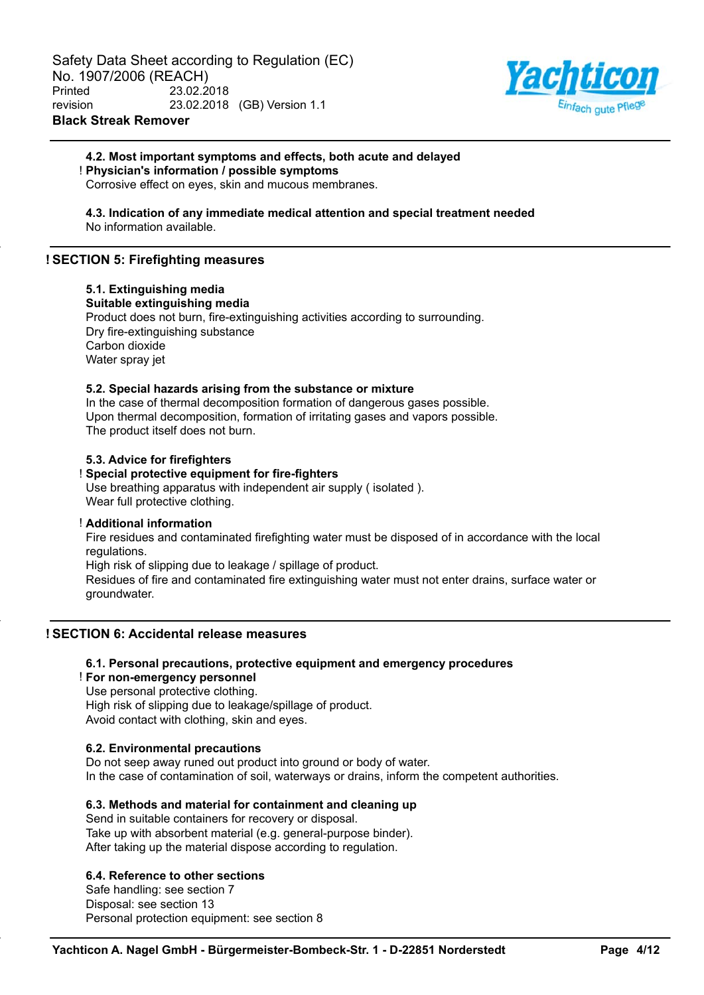

# **4.2. Most important symptoms and effects, both acute and delayed** ! **Physician's information / possible symptoms**

Corrosive effect on eyes, skin and mucous membranes.

#### **4.3. Indication of any immediate medical attention and special treatment needed** No information available.

# **! SECTION 5: Firefighting measures**

# **5.1. Extinguishing media**

**Suitable extinguishing media**

Product does not burn, fire-extinguishing activities according to surrounding. Dry fire-extinguishing substance Carbon dioxide Water spray jet

# **5.2. Special hazards arising from the substance or mixture**

In the case of thermal decomposition formation of dangerous gases possible. Upon thermal decomposition, formation of irritating gases and vapors possible. The product itself does not burn.

# **5.3. Advice for firefighters**

# ! **Special protective equipment for fire-fighters**

Use breathing apparatus with independent air supply ( isolated ). Wear full protective clothing.

### ! **Additional information**

Fire residues and contaminated firefighting water must be disposed of in accordance with the local regulations.

High risk of slipping due to leakage / spillage of product.

Residues of fire and contaminated fire extinguishing water must not enter drains, surface water or groundwater.

# **! SECTION 6: Accidental release measures**

# **6.1. Personal precautions, protective equipment and emergency procedures**

#### ! **For non-emergency personnel**

Use personal protective clothing. High risk of slipping due to leakage/spillage of product.

Avoid contact with clothing, skin and eyes.

# **6.2. Environmental precautions**

Do not seep away runed out product into ground or body of water. In the case of contamination of soil, waterways or drains, inform the competent authorities.

# **6.3. Methods and material for containment and cleaning up**

Send in suitable containers for recovery or disposal. Take up with absorbent material (e.g. general-purpose binder). After taking up the material dispose according to regulation.

# **6.4. Reference to other sections**

Safe handling: see section 7 Disposal: see section 13 Personal protection equipment: see section 8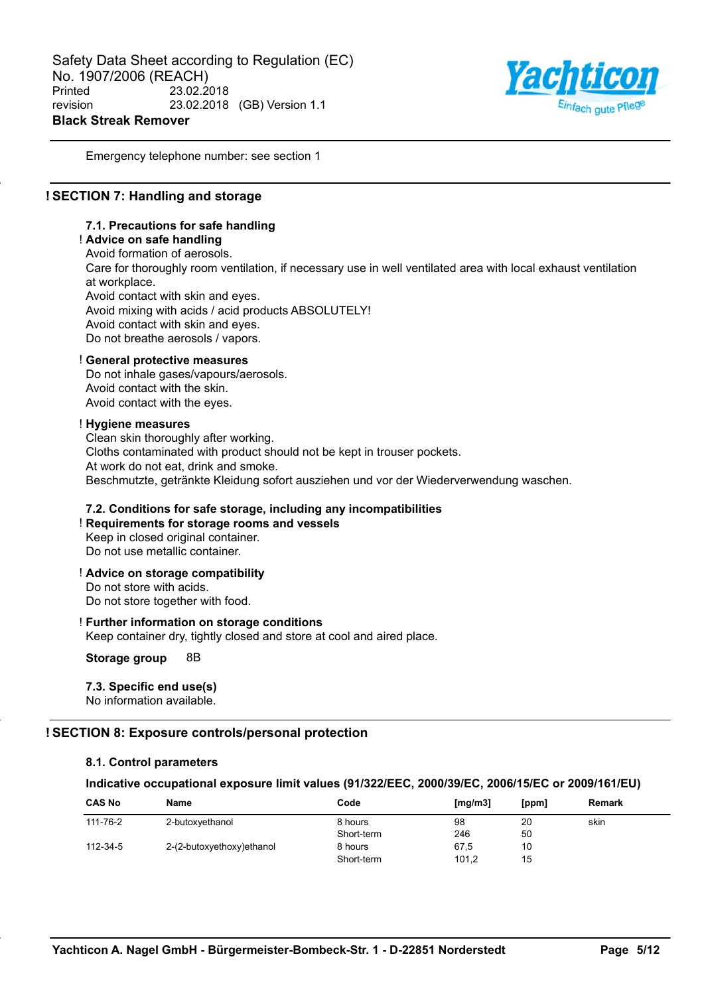

Emergency telephone number: see section 1

# **! SECTION 7: Handling and storage**

#### **7.1. Precautions for safe handling**

# ! **Advice on safe handling**

Avoid formation of aerosols. Care for thoroughly room ventilation, if necessary use in well ventilated area with local exhaust ventilation at workplace. Avoid contact with skin and eyes. Avoid mixing with acids / acid products ABSOLUTELY! Avoid contact with skin and eyes. Do not breathe aerosols / vapors.

#### ! **General protective measures**

Do not inhale gases/vapours/aerosols. Avoid contact with the skin. Avoid contact with the eyes.

#### ! **Hygiene measures**

Clean skin thoroughly after working. Cloths contaminated with product should not be kept in trouser pockets. At work do not eat, drink and smoke. Beschmutzte, getränkte Kleidung sofort ausziehen und vor der Wiederverwendung waschen.

#### **7.2. Conditions for safe storage, including any incompatibilities**

# ! **Requirements for storage rooms and vessels**

Keep in closed original container. Do not use metallic container.

! **Advice on storage compatibility**

Do not store with acids. Do not store together with food.

# ! **Further information on storage conditions**

Keep container dry, tightly closed and store at cool and aired place.

**Storage group** 8B

# **7.3. Specific end use(s)**

No information available.

# **! SECTION 8: Exposure controls/personal protection**

#### **8.1. Control parameters**

#### **Indicative occupational exposure limit values (91/322/EEC, 2000/39/EC, 2006/15/EC or 2009/161/EU)**

| <b>CAS No</b> | Name                      | Code       | [mg/m3] | [ppm] | Remark |
|---------------|---------------------------|------------|---------|-------|--------|
| 111-76-2      | 2-butoxyethanol           | 8 hours    | 98      | 20    | skin   |
|               |                           | Short-term | 246     | 50    |        |
| 112-34-5      | 2-(2-butoxyethoxy)ethanol | 8 hours    | 67,5    | 10    |        |
|               |                           | Short-term | 101,2   | 15    |        |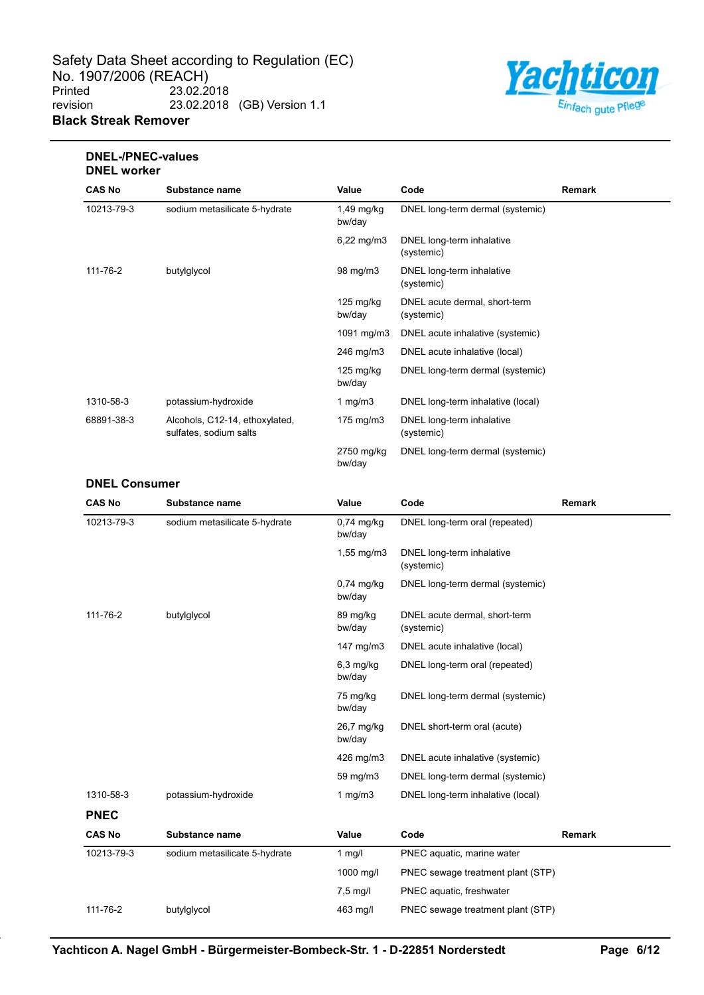

# **DNEL-/PNEC-values DNEL worker**

| <b>CAS No</b> | Substance name                                           | Value                         | Code                                        | Remark |
|---------------|----------------------------------------------------------|-------------------------------|---------------------------------------------|--------|
| 10213-79-3    | sodium metasilicate 5-hydrate                            | $1,49$ mg/kg<br>bw/day        | DNEL long-term dermal (systemic)            |        |
|               |                                                          | $6,22 \,\mathrm{mg/m3}$       | DNEL long-term inhalative<br>(systemic)     |        |
| 111-76-2      | butylglycol                                              | 98 mg/m3                      | DNEL long-term inhalative<br>(systemic)     |        |
|               |                                                          | $125 \text{ mg/kg}$<br>bw/day | DNEL acute dermal, short-term<br>(systemic) |        |
|               |                                                          | 1091 mg/m $3$                 | DNEL acute inhalative (systemic)            |        |
|               |                                                          | 246 mg/m3                     | DNEL acute inhalative (local)               |        |
|               |                                                          | $125 \text{ mg/kg}$<br>bw/day | DNEL long-term dermal (systemic)            |        |
| 1310-58-3     | potassium-hydroxide                                      | 1 mg/m $3$                    | DNEL long-term inhalative (local)           |        |
| 68891-38-3    | Alcohols, C12-14, ethoxylated,<br>sulfates, sodium salts | 175 mg/m3                     | DNEL long-term inhalative<br>(systemic)     |        |
|               |                                                          | 2750 mg/kg<br>bw/day          | DNEL long-term dermal (systemic)            |        |

### **DNEL Consumer**

| <b>CAS No</b> | Substance name                | Value                   | Code                                        | Remark |
|---------------|-------------------------------|-------------------------|---------------------------------------------|--------|
| 10213-79-3    | sodium metasilicate 5-hydrate | $0,74$ mg/kg<br>bw/day  | DNEL long-term oral (repeated)              |        |
|               |                               | $1,55 \, \text{mg/m}$ 3 | DNEL long-term inhalative<br>(systemic)     |        |
|               |                               | $0,74$ mg/kg<br>bw/day  | DNEL long-term dermal (systemic)            |        |
| 111-76-2      | butylglycol                   | 89 mg/kg<br>bw/day      | DNEL acute dermal, short-term<br>(systemic) |        |
|               |                               | 147 $mg/m3$             | DNEL acute inhalative (local)               |        |
|               |                               | $6,3$ mg/kg<br>bw/day   | DNEL long-term oral (repeated)              |        |
|               |                               | 75 mg/kg<br>bw/day      | DNEL long-term dermal (systemic)            |        |
|               |                               | 26,7 mg/kg<br>bw/day    | DNEL short-term oral (acute)                |        |
|               |                               | 426 mg/m3               | DNEL acute inhalative (systemic)            |        |
|               |                               | 59 mg/m3                | DNEL long-term dermal (systemic)            |        |
| 1310-58-3     | potassium-hydroxide           | 1 mg/m $3$              | DNEL long-term inhalative (local)           |        |
| <b>PNEC</b>   |                               |                         |                                             |        |
| <b>CAS No</b> | Substance name                | Value                   | Code                                        | Remark |
| 10213-79-3    | sodium metasilicate 5-hydrate | $1$ mg/l                | PNEC aquatic, marine water                  |        |
|               |                               | 1000 mg/l               | PNEC sewage treatment plant (STP)           |        |
|               |                               | $7,5 \text{ mg/l}$      | PNEC aquatic, freshwater                    |        |
| 111-76-2      | butylglycol                   | 463 mg/l                | PNEC sewage treatment plant (STP)           |        |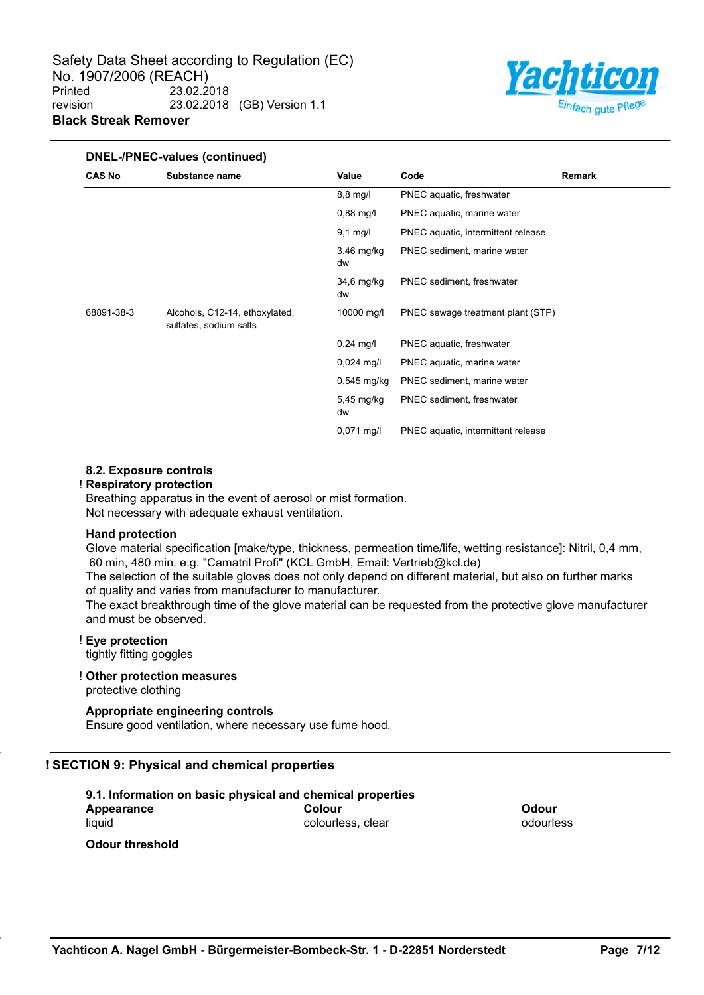

#### **DNEL-/PNEC-values (continued) CAS No Substance name Value Code Remark** 8,8 mg/l PNEC aquatic, freshwater 0,88 mg/l PNEC aquatic, marine water 9,1 mg/l PNEC aquatic, intermittent release 3,46 mg/kg dw PNEC sediment, marine water 34,6 mg/kg dw PNEC sediment, freshwater 68891-38-3 Alcohols, C12-14, ethoxylated, sulfates, sodium salts 10000 mg/l PNEC sewage treatment plant (STP) 0,24 mg/l PNEC aquatic, freshwater 0,024 mg/l PNEC aquatic, marine water 0,545 mg/kg PNEC sediment, marine water 5,45 mg/kg dw PNEC sediment, freshwater 0,071 mg/l PNEC aquatic, intermittent release

# **8.2. Exposure controls**

#### ! **Respiratory protection**

Breathing apparatus in the event of aerosol or mist formation. Not necessary with adequate exhaust ventilation.

#### **Hand protection**

Glove material specification [make/type, thickness, permeation time/life, wetting resistance]: Nitril, 0,4 mm, 60 min, 480 min. e.g. "Camatril Profi" (KCL GmbH, Email: Vertrieb@kcl.de)

The selection of the suitable gloves does not only depend on different material, but also on further marks of quality and varies from manufacturer to manufacturer.

The exact breakthrough time of the glove material can be requested from the protective glove manufacturer and must be observed.

# ! **Eye protection**

tightly fitting goggles

#### ! **Other protection measures**

protective clothing

# **Appropriate engineering controls**

Ensure good ventilation, where necessary use fume hood.

# **! SECTION 9: Physical and chemical properties**

| 9.1. Information on basic physical and chemical properties |                   |              |  |  |
|------------------------------------------------------------|-------------------|--------------|--|--|
| Appearance                                                 | Colour            | <b>Odour</b> |  |  |
| liauid                                                     | colourless, clear | odourless    |  |  |
| <b>Odour threshold</b>                                     |                   |              |  |  |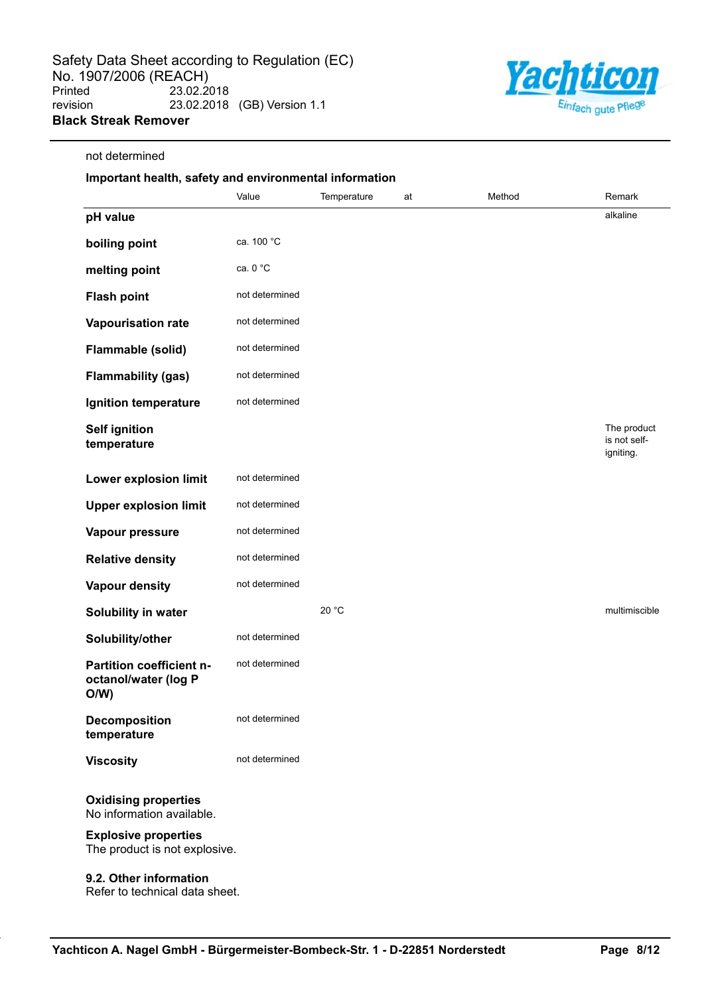not determined



# **Important health, safety and environmental information** Value **Temperature** at Method **Remark pH value** alkaline also alternative and the contract of the contract of the contract of the contract of the contract of the contract of the contract of the contract of the contract of the contract of the contract of the c **boiling point** ca. 100 °C **melting point** ca. 0 °C **Flash point** not determined **Vapourisation rate** not determined **Flammable (solid)** not determined **Flammability (gas)** not determined **Ignition temperature** not determined **Self ignition temperature** The product is not selfigniting. **Lower explosion limit** not determined **Upper explosion limit** not determined **Vapour pressure** not determined **Relative density** not determined **Vapour density** not determined **Solubility in water** 20 °C multimiscible **Solubility/other** not determined **Partition coefficient noctanol/water (log P O/W)** not determined **Decomposition temperature** not determined **Viscosity** not determined **Oxidising properties** No information available. **Explosive properties**

The product is not explosive.

#### **9.2. Other information**

Refer to technical data sheet.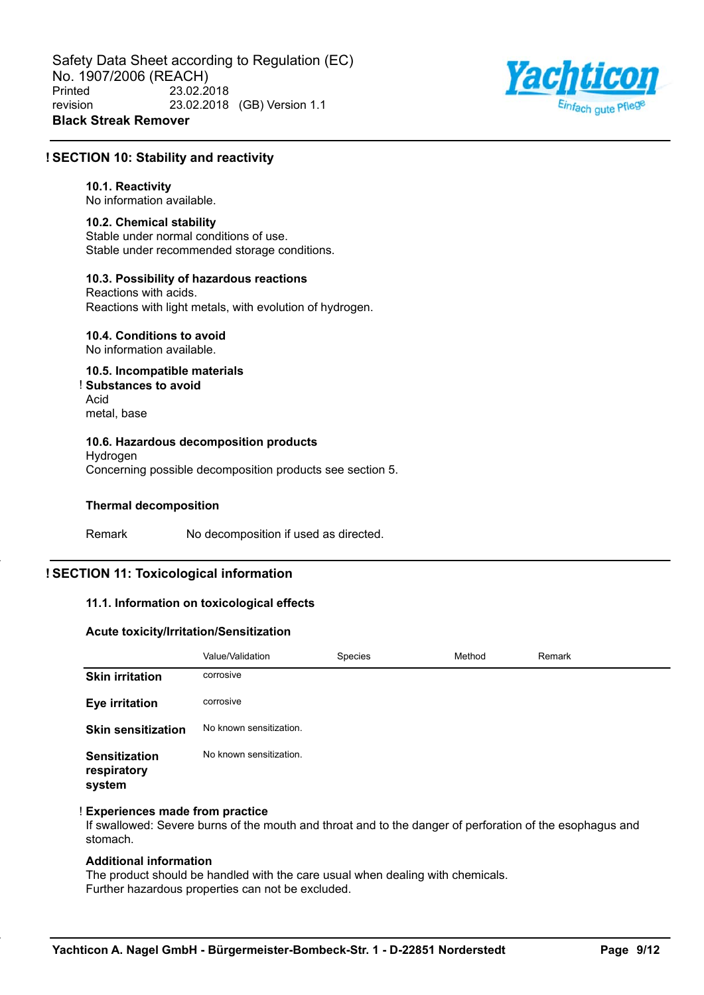

## **! SECTION 10: Stability and reactivity**

#### **10.1. Reactivity**

No information available.

#### **10.2. Chemical stability**

Stable under normal conditions of use. Stable under recommended storage conditions.

# **10.3. Possibility of hazardous reactions**

Reactions with acids. Reactions with light metals, with evolution of hydrogen.

# **10.4. Conditions to avoid**

No information available.

#### **10.5. Incompatible materials** ! **Substances to avoid** Acid

metal, base

## **10.6. Hazardous decomposition products**

Hydrogen Concerning possible decomposition products see section 5.

#### **Thermal decomposition**

Remark No decomposition if used as directed.

# **! SECTION 11: Toxicological information**

#### **11.1. Information on toxicological effects**

#### **Acute toxicity/Irritation/Sensitization**

|                                               | Value/Validation        | Species | Method | Remark |
|-----------------------------------------------|-------------------------|---------|--------|--------|
| <b>Skin irritation</b>                        | corrosive               |         |        |        |
| <b>Eye irritation</b>                         | corrosive               |         |        |        |
| <b>Skin sensitization</b>                     | No known sensitization. |         |        |        |
| <b>Sensitization</b><br>respiratory<br>system | No known sensitization. |         |        |        |

#### ! **Experiences made from practice**

If swallowed: Severe burns of the mouth and throat and to the danger of perforation of the esophagus and stomach.

# **Additional information**

The product should be handled with the care usual when dealing with chemicals. Further hazardous properties can not be excluded.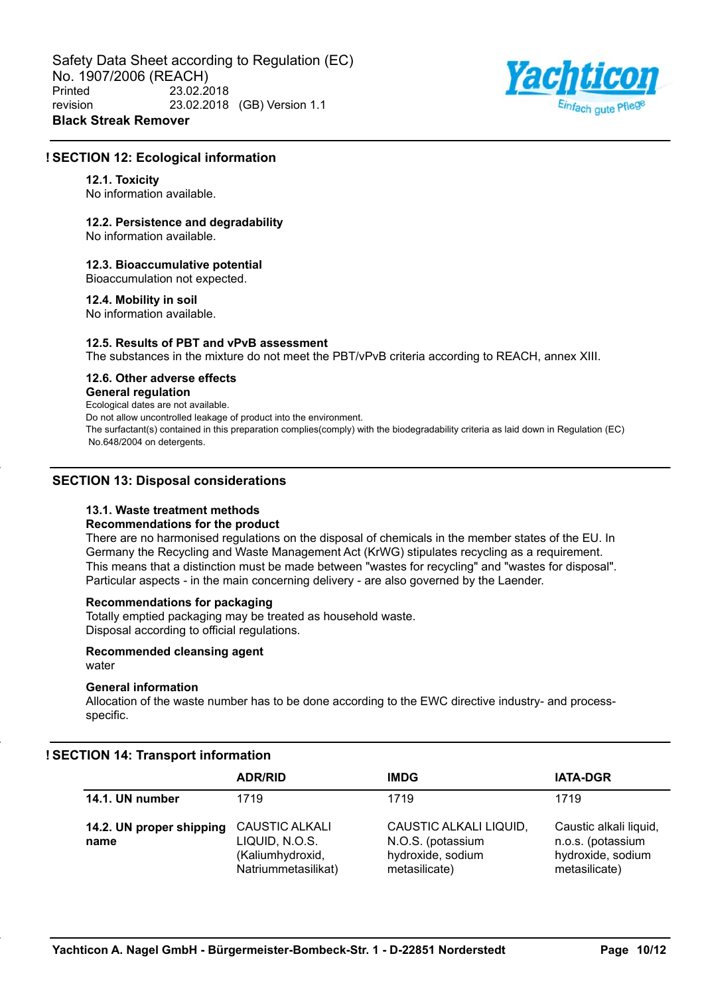Safety Data Sheet according to Regulation (EC) No. 1907/2006 (REACH)<br>Printed 23.02.2 Printed 23.02.2018 revision 23.02.2018 (GB) Version 1.1 **Black Streak Remover**



# **! SECTION 12: Ecological information**

#### **12.1. Toxicity**

No information available.

#### **12.2. Persistence and degradability**

No information available.

#### **12.3. Bioaccumulative potential**

Bioaccumulation not expected.

#### **12.4. Mobility in soil**

No information available.

### **12.5. Results of PBT and vPvB assessment**

The substances in the mixture do not meet the PBT/vPvB criteria according to REACH, annex XIII.

# **12.6. Other adverse effects**

### **General regulation**

Ecological dates are not available.

Do not allow uncontrolled leakage of product into the environment.

The surfactant(s) contained in this preparation complies(comply) with the biodegradability criteria as laid down in Regulation (EC) No.648/2004 on detergents.

## **SECTION 13: Disposal considerations**

## **13.1. Waste treatment methods**

#### **Recommendations for the product**

There are no harmonised regulations on the disposal of chemicals in the member states of the EU. In Germany the Recycling and Waste Management Act (KrWG) stipulates recycling as a requirement. This means that a distinction must be made between "wastes for recycling" and "wastes for disposal". Particular aspects - in the main concerning delivery - are also governed by the Laender.

# **Recommendations for packaging**

Totally emptied packaging may be treated as household waste. Disposal according to official regulations.

#### **Recommended cleansing agent** water

# **General information**

Allocation of the waste number has to be done according to the EWC directive industry- and processspecific.

# **! SECTION 14: Transport information**

|                                  | <b>ADR/RID</b>                                                                     | <b>IMDG</b>                                                                       | <b>IATA-DGR</b>                                                                   |
|----------------------------------|------------------------------------------------------------------------------------|-----------------------------------------------------------------------------------|-----------------------------------------------------------------------------------|
| 14.1. UN number                  | 1719                                                                               | 1719                                                                              | 1719                                                                              |
| 14.2. UN proper shipping<br>name | <b>CAUSTIC ALKALI</b><br>LIQUID, N.O.S.<br>(Kaliumhydroxid,<br>Natriummetasilikat) | CAUSTIC ALKALI LIQUID,<br>N.O.S. (potassium<br>hydroxide, sodium<br>metasilicate) | Caustic alkali liquid,<br>n.o.s. (potassium<br>hydroxide, sodium<br>metasilicate) |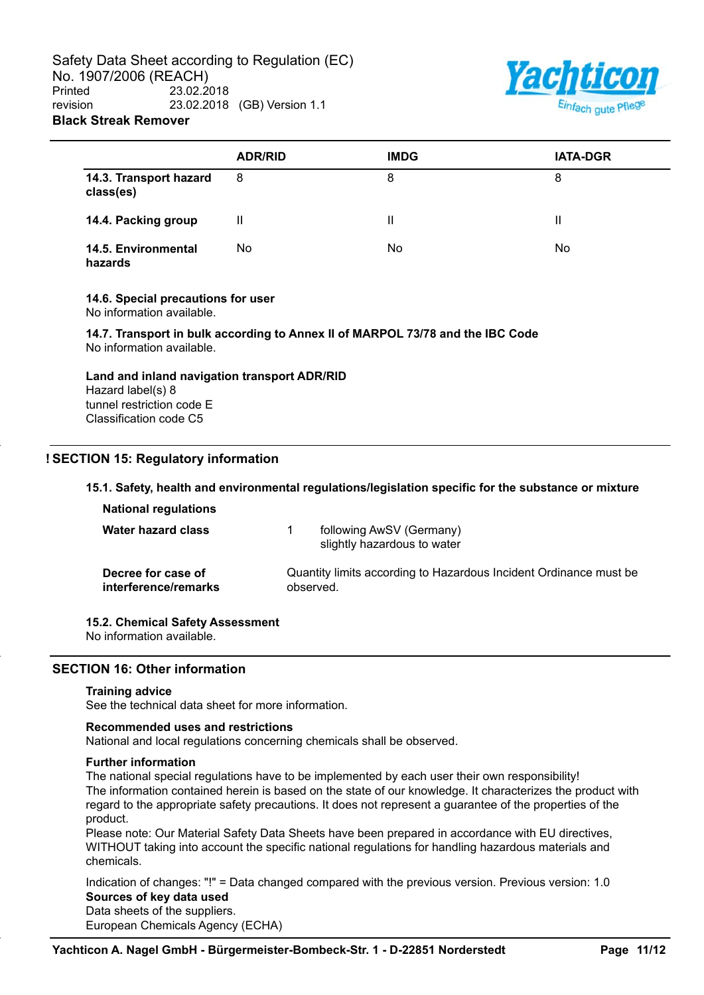Safety Data Sheet according to Regulation (EC) No. 1907/2006 (REACH)<br>Printed 23.02.2 Printed 23.02.2018 revision 23.02.2018 (GB) Version 1.1 **Black Streak Remover**



|                                     | <b>ADR/RID</b> | <b>IMDG</b> | <b>IATA-DGR</b> |
|-------------------------------------|----------------|-------------|-----------------|
| 14.3. Transport hazard<br>class(es) | 8              | 8           | 8               |
| 14.4. Packing group                 | Ш              | Ш           |                 |
| 14.5. Environmental<br>hazards      | No             | No.         | No              |

#### **14.6. Special precautions for user**

No information available.

**14.7. Transport in bulk according to Annex II of MARPOL 73/78 and the IBC Code** No information available.

# **Land and inland navigation transport ADR/RID**

Hazard label(s) 8 tunnel restriction code E Classification code C5

# **! SECTION 15: Regulatory information**

## **15.1. Safety, health and environmental regulations/legislation specific for the substance or mixture**

| <b>National regulations</b>                |           |                                                                   |
|--------------------------------------------|-----------|-------------------------------------------------------------------|
| <b>Water hazard class</b>                  |           | following AwSV (Germany)<br>slightly hazardous to water           |
| Decree for case of<br>interference/remarks | observed. | Quantity limits according to Hazardous Incident Ordinance must be |

# **15.2. Chemical Safety Assessment**

No information available.

# **SECTION 16: Other information**

#### **Training advice**

See the technical data sheet for more information.

#### **Recommended uses and restrictions**

National and local regulations concerning chemicals shall be observed.

#### **Further information**

The national special regulations have to be implemented by each user their own responsibility! The information contained herein is based on the state of our knowledge. It characterizes the product with regard to the appropriate safety precautions. It does not represent a guarantee of the properties of the product.

Please note: Our Material Safety Data Sheets have been prepared in accordance with EU directives, WITHOUT taking into account the specific national regulations for handling hazardous materials and chemicals.

Indication of changes: "!" = Data changed compared with the previous version. Previous version: 1.0 **Sources of key data used** Data sheets of the suppliers.

European Chemicals Agency (ECHA)